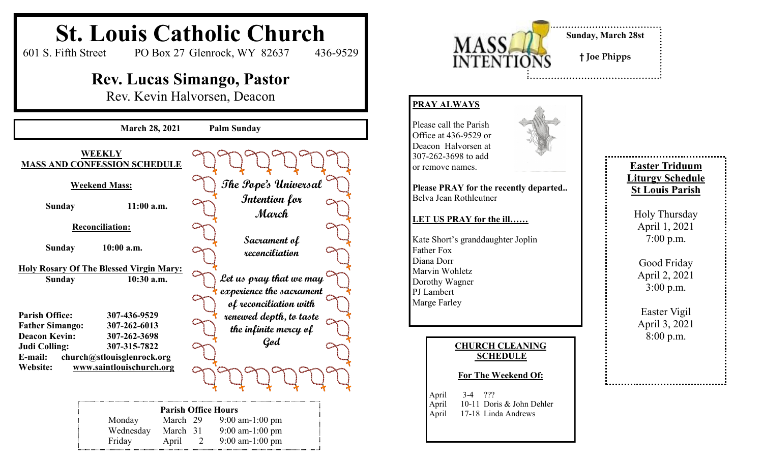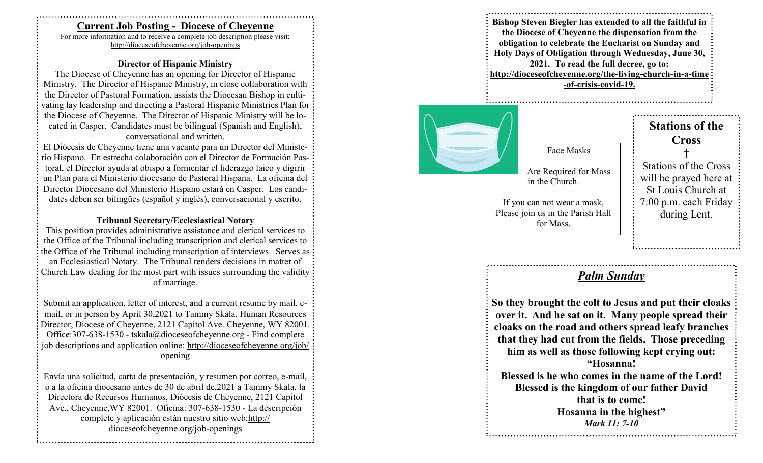### **Current Job Posting - Diocese of Cheyenne**

For more information and to receive a complete job description please visit: http://dioceseofcheyenne.org/job -openings

#### **Director of Hispanic Ministry**

The Diocese of Cheyenne has an opening for Director of Hispanic Ministry. The Director of Hispanic Ministry, in close collaboration with the Director of Pastoral Formation, assists the Diocesan Bishop in cultivating lay leadership and directing a Pastoral Hispanic Ministries Plan for: the Diocese of Cheyenne. The Director of Hispanic Ministry will be located in Casper. Candidates must be bilingual (Spanish and English), conversational and written.

El Diócesis de Cheyenne tiene una vacante para un Director del Ministerio Hispano. En estrecha colaboración con el Director de Formación Pastoral, el Director ayuda al obispo a formentar el liderazgo laico y digirir un Plan para el Ministerio diocesano de Pastoral Hispana. La oficina del Director Diocesano del Ministerio Hispano estará en Casper. Los candidates deben ser bilingües (español y inglés), conversacional y escrito.

#### **Tribunal Secretary/Ecclesiastical Notary**

This position provides administrative assistance and clerical services to the Office of the Tribunal including transcription and clerical services to the Office of the Tribunal including transcription of interviews. Serves as: an Ecclesiastical Notary. The Tribunal renders decisions in matter of Church Law dealing for the most part with issues surrounding the validity of marriage.

Submit an application, letter of interest, and a current resume by mail, e mail, or in person by April 30,2021 to Tammy Skala, Human Resources Director, Diocese of Cheyenne, 2121 Capitol Ave. Cheyenne, WY 82001. Office: 307-638-1530 - tskala@dioceseofcheyenne.org - Find complete job descriptions and application online: http://dioceseofcheyenne.org/job/ opening

Envía una solicitud, carta de presentación, y resumen por correo, e -mail, o a la oficina diocesano antes de 30 de abril de,2021 a Tammy Skala, la Directora de Recursos Humanos, Diócesis de Cheyenne, 2121 Capitol Ave., Cheyenne, WY 82001. Oficina: 307-638-1530 - La descripción complete y aplicación están nuestro sitio web:http:// dioceseofcheyenne.org/job -openings





# *Palm Sunday*

**So they brought the colt to Jesus and put their cloaks over it. And he sat on it. Many people spread their cloaks on the road and others spread leafy branches that they had cut from the fields. Those preceding him as well as those following kept crying out: "Hosanna! Blessed is he who comes in the name of the Lord! Blessed is the kingdom of our father David that is to come! Hosanna in the highest"** *Mark 11: 7-10*